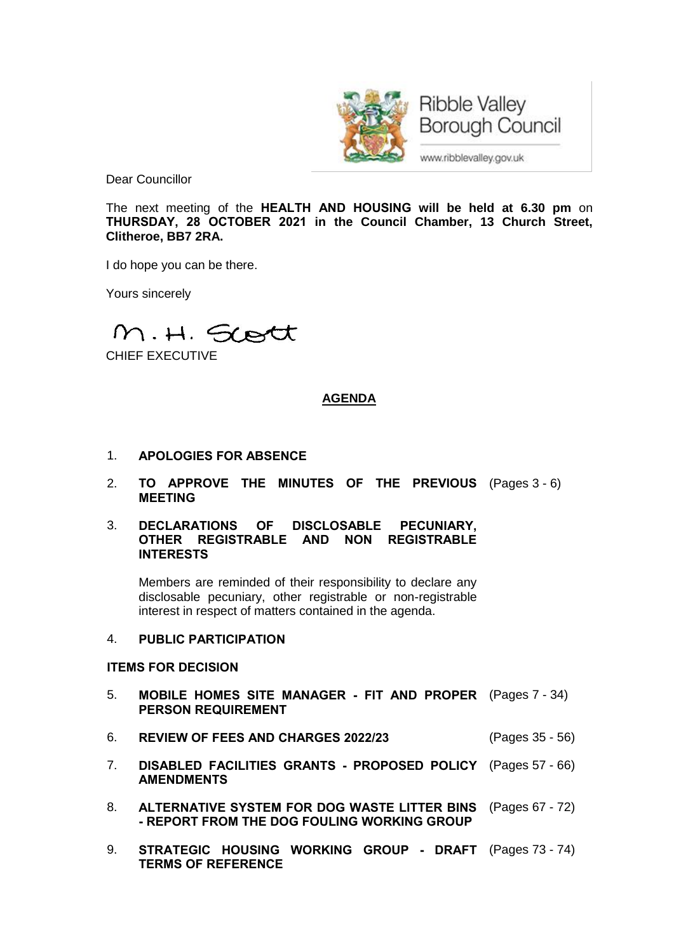

**Ribble Valley Borough Council** 

www.ribblevalley.gov.uk

Dear Councillor

The next meeting of the **HEALTH AND HOUSING will be held at 6.30 pm** on **THURSDAY, 28 OCTOBER 2021 in the Council Chamber, 13 Church Street, Clitheroe, BB7 2RA.**

I do hope you can be there.

Yours sincerely

M.H. Scott

CHIEF EXECUTIVE

# **AGENDA**

- 1. **APOLOGIES FOR ABSENCE**
- 2. **TO APPROVE THE MINUTES OF THE PREVIOUS** (Pages 3 6) **MEETING**
- 3. **DECLARATIONS OF DISCLOSABLE PECUNIARY, OTHER REGISTRABLE AND NON REGISTRABLE INTERESTS**

Members are reminded of their responsibility to declare any disclosable pecuniary, other registrable or non-registrable interest in respect of matters contained in the agenda.

# 4. **PUBLIC PARTICIPATION**

# **ITEMS FOR DECISION**

- 5. **MOBILE HOMES SITE MANAGER - FIT AND PROPER** (Pages 7 34) **PERSON REQUIREMENT**
- 6. **REVIEW OF FEES AND CHARGES 2022/23** (Pages 35 56)
- 7. **DISABLED FACILITIES GRANTS - PROPOSED POLICY** (Pages 57 66) **AMENDMENTS**
- 8. **ALTERNATIVE SYSTEM FOR DOG WASTE LITTER BINS** (Pages 67 72) **- REPORT FROM THE DOG FOULING WORKING GROUP**
- 9. **STRATEGIC HOUSING WORKING GROUP - DRAFT** (Pages 73 74)**TERMS OF REFERENCE**